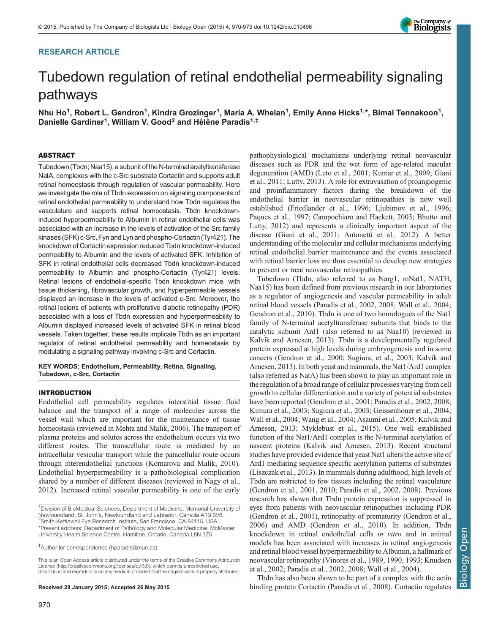## RESEARCH ARTICLE



# Tubedown regulation of retinal endothelial permeability signaling pathways

Nhu Ho<sup>1</sup>, Robert L. Gendron<sup>1</sup>, Kindra Grozinger<sup>1</sup>, Maria A. Whelan<sup>1</sup>, Emily Anne Hicks<sup>1,\*</sup>, Bimal Tennakoon<sup>1</sup>, Danielle Gardiner<sup>1</sup>, William V. Good<sup>2</sup> and Hélène Paradis<sup>1,‡</sup>

#### ABSTRACT

Tubedown (Tbdn; Naa15), a subunit of the N-terminal acetyltransferase NatA, complexes with the c-Src substrate Cortactin and supports adult retinal homeostasis through regulation of vascular permeability. Here we investigate the role of Tbdn expression on signaling components of retinal endothelial permeability to understand how Tbdn regulates the vasculature and supports retinal homeostasis. Tbdn knockdowninduced hyperpermeability to Albumin in retinal endothelial cells was associated with an increase in the levels of activation of the Src family kinases (SFK) c-Src, Fyn and Lyn and phospho-Cortactin (Tyr421). The knockdown of Cortactin expression reduced Tbdn knockdown-induced permeability to Albumin and the levels of activated SFK. Inhibition of SFK in retinal endothelial cells decreased Tbdn knockdown-induced permeability to Albumin and phospho-Cortactin (Tyr421) levels. Retinal lesions of endothelial-specific Tbdn knockdown mice, with tissue thickening, fibrovascular growth, and hyperpermeable vessels displayed an increase in the levels of activated c-Src. Moreover, the retinal lesions of patients with proliferative diabetic retinopathy (PDR) associated with a loss of Tbdn expression and hyperpermeability to Albumin displayed increased levels of activated SFK in retinal blood vessels. Taken together, these results implicate Tbdn as an important regulator of retinal endothelial permeability and homeostasis by modulating a signaling pathway involving c-Src and Cortactin.

#### KEY WORDS: Endothelium, Permeability, Retina, Signaling, Tubedown, c-Src, Cortactin

#### INTRODUCTION

Endothelial cell permeability regulates interstitial tissue fluid balance and the transport of a range of molecules across the vessel wall which are important for the maintenance of tissue homeostasis (reviewed in [Mehta and Malik, 2006](#page-9-0)). The transport of plasma proteins and solutes across the endothelium occurs via two different routes. The transcellular route is mediated by an intracellular vesicular transport while the paracellular route occurs through interendothelial junctions ([Komarova and Malik, 2010\)](#page-9-0). Endothelial hyperpermeability is a pathobiological complication shared by a number of different diseases (reviewed in [Nagy et al.,](#page-9-0) [2012](#page-9-0)). Increased retinal vascular permeability is one of the early

‡ Author for correspondence ([hparadis@mun.ca\)](mailto:hparadis@mun.ca)

This is an Open Access article distributed under the terms of the Creative Commons Attribution License (http://creativecommons.org/licenses/by/3.0), which permits unrestricted use, distribution and reproduction in any medium provided that the original work is properly attributed.

pathophysiological mechanisms underlying retinal neovascular diseases such as PDR and the wet form of age-related macular degeneration (AMD) [\(Leto et al., 2001](#page-9-0); [Kumar et al., 2009; Giani](#page-9-0) [et al., 2011; Lutty, 2013](#page-9-0)). A role for extravasation of proangiogenic and proinflammatory factors during the breakdown of the endothelial barrier in neovascular retinopathies is now well established ([Friedlander et al., 1996; Ljubimov et al., 1996](#page-9-0); [Paques et al., 1997;](#page-9-0) [Campochiaro and Hackett, 2003; Bhutto and](#page-8-0) [Lutty, 2012\)](#page-8-0) and represents a clinically important aspect of the disease ([Giani et al., 2011](#page-9-0); [Antonetti et al., 2012](#page-8-0)). A better understanding of the molecular and cellular mechanisms underlying retinal endothelial barrier maintenance and the events associated with retinal barrier loss are thus essential to develop new strategies to prevent or treat neovascular retinopathies.

Tubedown (Tbdn, also referred to as Narg1, mNat1, NATH, Naa15) has been defined from previous research in our laboratories as a regulator of angiogenesis and vascular permeability in adult retinal blood vessels [\(Paradis et al., 2002](#page-9-0), [2008](#page-9-0); [Wall et al., 2004](#page-9-0); [Gendron et al., 2010\)](#page-9-0). Tbdn is one of two homologues of the Nat1 family of N-terminal acetyltransferase subunits that binds to the catalytic subunit Ard1 (also referred to as Naa10) (reviewed in [Kalvik and Arnesen, 2013](#page-9-0)). Tbdn is a developmentally regulated protein expressed at high levels during embryogenesis and in some cancers ([Gendron et al., 2000](#page-9-0); [Sugiura, et al., 2003; Kalvik and](#page-9-0) [Arnesen, 2013](#page-9-0)). In both yeast and mammals, the Nat1/Ard1 complex (also referred as NatA) has been shown to play an important role in the regulation of a broad range of cellular processes varying from cell growth to cellular differentiation and a variety of potential substrates have been reported [\(Gendron et al., 2001](#page-9-0); [Paradis et al., 2002](#page-9-0), [2008](#page-9-0); [Kimura et al., 2003](#page-9-0); [Sugiura et al., 2003; Geissenhoner et al., 2004](#page-9-0); [Wall et al., 2004; Wang et al., 2004;](#page-9-0) [Asaumi et al., 2005](#page-8-0); [Kalvik and](#page-9-0) [Arnesen, 2013; Myklebust et al., 201](#page-9-0)5). One well established function of the Nat1/Ard1 complex is the N-terminal acetylation of nascent proteins ([Kalvik and Arnesen, 2013](#page-9-0)). Recent structural studies have provided evidence that yeast Nat1 alters the active site of Ard1 mediating sequence specific acetylation patterns of substrates [\(Liszczak et al., 2013\)](#page-9-0). In mammals during adulthood, high levels of Tbdn are restricted to few tissues including the retinal vasculature [\(Gendron et al., 2001](#page-9-0), [2010; Paradis et al., 2002](#page-9-0), [2008\)](#page-9-0). Previous research has shown that Tbdn protein expression is suppressed in eyes from patients with neovascular retinopathies including PDR [\(Gendron et al., 2001\)](#page-9-0), retinopathy of prematurity [\(Gendron et al.,](#page-9-0) [2006\)](#page-9-0) and AMD [\(Gendron et al., 2010](#page-9-0)). In addition, Tbdn knockdown in retinal endothelial cells in vitro and in animal models has been associated with increases in retinal angiogenesis and retinal blood vessel hyperpermeability to Albumin, a hallmark of neovascular retinopathy [\(Vinores et al., 1989](#page-9-0), [1990](#page-9-0), [1993; Knudsen](#page-9-0) [et al., 2002; Paradis et al., 2002](#page-9-0), [2008](#page-9-0); [Wall et al., 2004](#page-9-0)).

Tbdn has also been shown to be part of a complex with the actin Received 28 January 2015; Accepted 26 May 2015 **binding** protein Cortactin ([Paradis et al., 2008](#page-9-0)). Cortactin regulates

<sup>&</sup>lt;sup>1</sup>Division of BioMedical Sciences, Department of Medicine, Memorial University of Newfoundland, St. John's, Newfoundland and Labrador, Canada A1B 3V6. <sup>2</sup> <sup>2</sup>Smith-Kettlewell Eye Research Institute, San Francisco, CA 94115, USA. \*Present address: Department of Pathology and Molecular Medicine, McMaster University Health Science Centre, Hamilton, Ontario, Canada L8N 3Z5.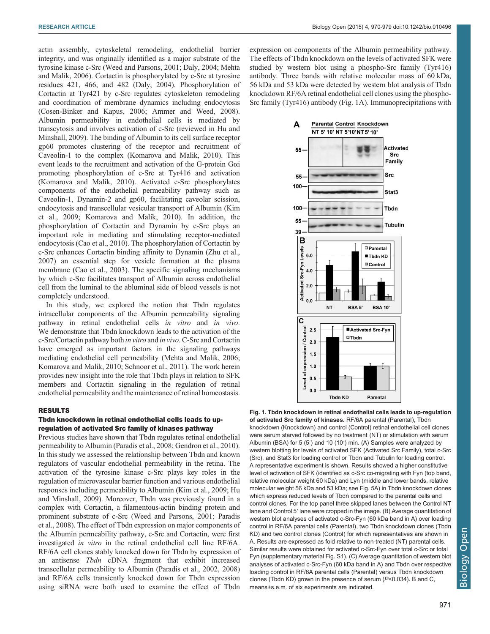<span id="page-1-0"></span>actin assembly, cytoskeletal remodeling, endothelial barrier integrity, and was originally identified as a major substrate of the tyrosine kinase c-Src ([Weed and Parsons, 2001](#page-9-0); [Daly, 2004; Mehta](#page-9-0) [and Malik, 2006\)](#page-9-0). Cortactin is phosphorylated by c-Src at tyrosine residues 421, 466, and 482 ([Daly, 2004](#page-9-0)). Phosphorylation of Cortactin at Tyr421 by c-Src regulates cytoskeleton remodeling and coordination of membrane dynamics including endocytosis [\(Cosen-Binker and Kapus, 2006](#page-9-0); [Ammer and Weed, 2008\)](#page-8-0). Albumin permeability in endothelial cells is mediated by transcytosis and involves activation of c-Src (reviewed in [Hu and](#page-9-0) [Minshall, 2009\)](#page-9-0). The binding of Albumin to its cell surface receptor gp60 promotes clustering of the receptor and recruitment of Caveolin-1 to the complex [\(Komarova and Malik, 2010](#page-9-0)). This event leads to the recruitment and activation of the G-protein Gαi promoting phosphorylation of c-Src at Tyr416 and activation [\(Komarova and Malik, 2010\)](#page-9-0). Activated c-Src phosphorylates components of the endothelial permeability pathway such as Caveolin-1, Dynamin-2 and gp60, facilitating caveolar scission, endocytosis and transcellular vesicular transport of Albumin [\(Kim](#page-9-0) [et al., 2009; Komarova and Malik, 2010\)](#page-9-0). In addition, the phosphorylation of Cortactin and Dynamin by c-Src plays an important role in mediating and stimulating receptor-mediated endocytosis ([Cao et al., 2010](#page-8-0)). The phosphorylation of Cortactin by c-Src enhances Cortactin binding affinity to Dynamin [\(Zhu et al.,](#page-9-0) [2007](#page-9-0)) an essential step for vesicle formation at the plasma membrane ([Cao et al., 2003](#page-8-0)). The specific signaling mechanisms by which c-Src facilitates transport of Albumin across endothelial cell from the luminal to the abluminal side of blood vessels is not completely understood.

In this study, we explored the notion that Tbdn regulates intracellular components of the Albumin permeability signaling pathway in retinal endothelial cells in vitro and in vivo. We demonstrate that Tbdn knockdown leads to the activation of the c-Src/Cortactin pathway both in vitro and in vivo. C-Src and Cortactin have emerged as important factors in the signaling pathways mediating endothelial cell permeability [\(Mehta and Malik, 2006](#page-9-0); [Komarova and Malik, 2010](#page-9-0); [Schnoor et al., 2011\)](#page-9-0). The work herein provides new insight into the role that Tbdn plays in relation to SFK members and Cortactin signaling in the regulation of retinal endothelial permeability and the maintenance of retinal homeostasis.

## RESULTS

#### Tbdn knockdown in retinal endothelial cells leads to upregulation of activated Src family of kinases pathway

Previous studies have shown that Tbdn regulates retinal endothelial permeability to Albumin ([Paradis et al., 2008; Gendron et al., 2010\)](#page-9-0). In this study we assessed the relationship between Tbdn and known regulators of vascular endothelial permeability in the retina. The activation of the tyrosine kinase c-Src plays key roles in the regulation of microvascular barrier function and various endothelial responses including permeability to Albumin ([Kim et al., 2009; Hu](#page-9-0) [and Minshall, 2009\)](#page-9-0). Moreover, Tbdn was previously found in a complex with Cortactin, a filamentous-actin binding protein and prominent substrate of c-Src [\(Weed and Parsons, 2001; Paradis](#page-9-0) [et al., 2008](#page-9-0)). The effect of Tbdn expression on major components of the Albumin permeability pathway, c-Src and Cortactin, were first investigated in vitro in the retinal endothelial cell line RF/6A. RF/6A cell clones stably knocked down for Tbdn by expression of an antisense Tbdn cDNA fragment that exhibit increased transcellular permeability to Albumin [\(Paradis et al., 2002](#page-9-0), [2008\)](#page-9-0) and RF/6A cells transiently knocked down for Tbdn expression using siRNA were both used to examine the effect of Tbdn

expression on components of the Albumin permeability pathway. The effects of Tbdn knockdown on the levels of activated SFK were studied by western blot using a phospho-Src family (Tyr416) antibody. Three bands with relative molecular mass of 60 kDa, 56 kDa and 53 kDa were detected by western blot analysis of Tbdn knockdown RF/6A retinal endothelial cell clones using the phospho-Src family (Tyr416) antibody (Fig. 1A). Immunoprecipitations with



Fig. 1. Tbdn knockdown in retinal endothelial cells leads to up-regulation of activated Src family of kinases. RF/6A parental (Parental), Tbdn knockdown (Knockdown) and control (Control) retinal endothelial cell clones were serum starved followed by no treatment (NT) or stimulation with serum Albumin (BSA) for 5 (5′) and 10 (10′) min. (A) Samples were analyzed by western blotting for levels of activated SFK (Activated Src Family), total c-Src (Src), and Stat3 for loading control or Tbdn and Tubulin for loading control. A representative experiment is shown. Results showed a higher constitutive level of activation of SFK (identified as c-Src co-migrating with Fyn (top band, relative molecular weight 60 kDa) and Lyn (middle and lower bands, relative molecular weight 56 kDa and 53 kDa; see Fig. 5A) in Tbdn knockdown clones which express reduced levels of Tbdn compared to the parental cells and control clones. For the top panel three skipped lanes between the Control NT lane and Control 5′ lane were cropped in the image. (B) Average quantitation of western blot analyses of activated c-Src-Fyn (60 kDa band in A) over loading control in RF/6A parental cells (Parental), two Tbdn knockdown clones (Tbdn KD) and two control clones (Control) for which representatives are shown in A. Results are expressed as fold relative to non-treated (NT) parental cells. Similar results were obtained for activated c-Src-Fyn over total c-Src or total Fyn ([supplementary material Fig. S1](http://bio.biologists.org/lookup/suppl/doi:10.1242/bio.010496/-/DC1)). (C) Average quantitation of western blot analyses of activated c-Src-Fyn (60 kDa band in A) and Tbdn over respective loading control in RF/6A parental cells (Parental) versus Tbdn knockdown clones (Tbdn KD) grown in the presence of serum (P<0.034). B and C, means±s.e.m. of six experiments are indicated.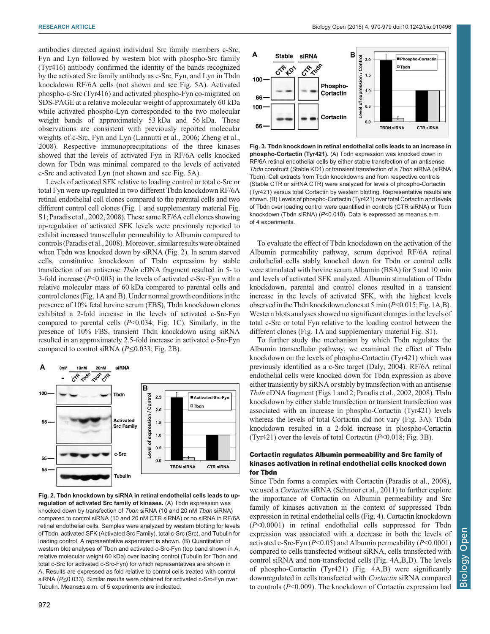<span id="page-2-0"></span>antibodies directed against individual Src family members c-Src, Fyn and Lyn followed by western blot with phospho-Src family (Tyr416) antibody confirmed the identity of the bands recognized by the activated Src family antibody as c-Src, Fyn, and Lyn in Tbdn knockdown RF/6A cells (not shown and see [Fig. 5A](#page-3-0)). Activated phospho-c-Src (Tyr416) and activated phospho-Fyn co-migrated on SDS-PAGE at a relative molecular weight of approximately 60 kDa while activated phospho-Lyn corresponded to the two molecular weight bands of approximately 53 kDa and 56 kDa. These observations are consistent with previously reported molecular weights of c-Src, Fyn and Lyn ([Lannutti et al., 2006; Zheng et al.,](#page-9-0) [2008](#page-9-0)). Respective immunoprecipitations of the three kinases showed that the levels of activated Fyn in RF/6A cells knocked down for Tbdn was minimal compared to the levels of activated c-Src and activated Lyn (not shown and see [Fig. 5](#page-3-0)A).

Levels of activated SFK relative to loading control or total c-Src or total Fyn were up-regulated in two different Tbdn knockdown RF/6A retinal endothelial cell clones compared to the parental cells and two different control cell clones [\(Fig. 1](#page-1-0) and [supplementary material Fig.](http://bio.biologists.org/lookup/suppl/doi:10.1242/bio.010496/-/DC1) [S1;](http://bio.biologists.org/lookup/suppl/doi:10.1242/bio.010496/-/DC1) [Paradis et al., 2002](#page-9-0), [2008\)](#page-9-0). These same RF/6A cell clones showing up-regulation of activated SFK levels were previously reported to exhibit increased transcellular permeability to Albumin compared to controls [\(Paradis et al., 2008](#page-9-0)). Moreover, similar results were obtained when Tbdn was knocked down by siRNA (Fig. 2). In serum starved cells, constitutive knockdown of Tbdn expression by stable transfection of an antisense Tbdn cDNA fragment resulted in 5- to 3-fold increase  $(P<0.003)$  in the levels of activated c-Src-Fyn with a relative molecular mass of 60 kDa compared to parental cells and control clones [\(Fig. 1](#page-1-0)A and B). Under normal growth conditions in the presence of 10% fetal bovine serum (FBS), Tbdn knockdown clones exhibited a 2-fold increase in the levels of activated c-Src-Fyn compared to parental cells  $(P<0.034; Fig. 1C)$  $(P<0.034; Fig. 1C)$  $(P<0.034; Fig. 1C)$ . Similarly, in the presence of 10% FBS, transient Tbdn knockdown using siRNA resulted in an approximately 2.5-fold increase in activated c-Src-Fyn compared to control siRNA ( $P \le 0.033$ ; Fig. 2B).



Fig. 2. Tbdn knockdown by siRNA in retinal endothelial cells leads to upregulation of activated Src family of kinases. (A) Tbdn expression was knocked down by transfection of Tbdn siRNA (10 and 20 nM Tbdn siRNA) compared to control siRNA (10 and 20 nM CTR siRNA) or no siRNA in RF/6A retinal endothelial cells. Samples were analyzed by western blotting for levels of Tbdn, activated SFK (Activated Src Family), total c-Src (Src), and Tubulin for loading control. A representative experiment is shown. (B) Quantitation of western blot analyses of Tbdn and activated c-Src-Fyn (top band shown in A, relative molecular weight 60 kDa) over loading control (Tubulin for Tbdn and total c-Src for activated c-Src-Fyn) for which representatives are shown in A. Results are expressed as fold relative to control cells treated with control siRNA (P<0.033). Similar results were obtained for activated c-Src-Fyn over Tubulin. Means±s.e.m. of 5 experiments are indicated.



Fig. 3. Tbdn knockdown in retinal endothelial cells leads to an increase in phospho-Cortactin (Tyr421). (A) Tbdn expression was knocked down in RF/6A retinal endothelial cells by either stable transfection of an antisense Tbdn construct (Stable KD1) or transient transfection of a Tbdn siRNA (siRNA Tbdn). Cell extracts from Tbdn knockdowns and from respective controls (Stable CTR or siRNA CTR) were analyzed for levels of phospho-Cortactin (Tyr421) versus total Cortactin by western blotting. Representative results are shown. (B) Levels of phospho-Cortactin (Tyr421) over total Cortactin and levels of Tbdn over loading control were quantified in controls (CTR siRNA) or Tbdn knockdown (Tbdn siRNA) (P<0.018). Data is expressed as mean±s.e.m. of 4 experiments.

To evaluate the effect of Tbdn knockdown on the activation of the Albumin permeability pathway, serum deprived RF/6A retinal endothelial cells stably knocked down for Tbdn or control cells were stimulated with bovine serum Albumin (BSA) for 5 and 10 min and levels of activated SFK analyzed. Albumin stimulation of Tbdn knockdown, parental and control clones resulted in a transient increase in the levels of activated SFK, with the highest levels observed in the Tbdn knockdown clones at 5 min  $(P<0.015; Fig. 1A,B)$  $(P<0.015; Fig. 1A,B)$  $(P<0.015; Fig. 1A,B)$ . Western blots analyses showed no significant changes in the levels of total c-Src or total Fyn relative to the loading control between the different clones ([Fig. 1](#page-1-0)A and [supplementary material Fig. S1](http://bio.biologists.org/lookup/suppl/doi:10.1242/bio.010496/-/DC1)).

To further study the mechanism by which Tbdn regulates the Albumin transcellular pathway, we examined the effect of Tbdn knockdown on the levels of phospho-Cortactin (Tyr421) which was previously identified as a c-Src target [\(Daly, 2004](#page-9-0)). RF/6A retinal endothelial cells were knocked down for Tbdn expression as above either transiently by siRNA or stably by transfection with an antisense Tbdn cDNA fragment [\(Figs 1](#page-1-0) and 2; [Paradis et al., 2002](#page-9-0), [2008](#page-9-0)). Tbdn knockdown by either stable transfection or transient transfection was associated with an increase in phospho-Cortactin (Tyr421) levels whereas the levels of total Cortactin did not vary (Fig. 3A). Tbdn knockdown resulted in a 2-fold increase in phospho-Cortactin (Tyr421) over the levels of total Cortactin  $(P<0.018; Fig. 3B)$ .

## Cortactin regulates Albumin permeability and Src family of kinases activation in retinal endothelial cells knocked down for Tbdn

Since Tbdn forms a complex with Cortactin [\(Paradis et al., 2008\)](#page-9-0), we used a *Cortactin* siRNA ([Schnoor et al., 2011](#page-9-0)) to further explore the importance of Cortactin on Albumin permeability and Src family of kinases activation in the context of suppressed Tbdn expression in retinal endothelial cells [\(Fig. 4](#page-3-0)). Cortactin knockdown (P<0.0001) in retinal endothelial cells suppressed for Tbdn expression was associated with a decrease in both the levels of activated c-Src-Fyn  $(P< 0.05)$  and Albumin permeability  $(P< 0.0001)$ compared to cells transfected without siRNA, cells transfected with control siRNA and non-transfected cells ([Fig. 4](#page-3-0)A,B,D). The levels of phospho-Cortactin (Tyr421) ([Fig. 4](#page-3-0)A,B) were significantly downregulated in cells transfected with Cortactin siRNA compared to controls (P<0.009). The knockdown of Cortactin expression had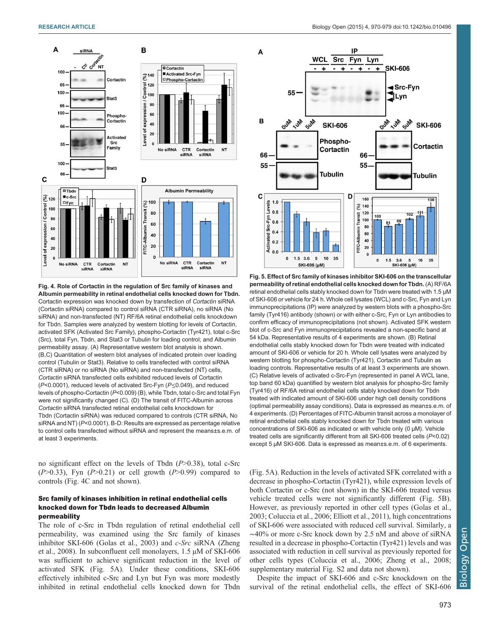<span id="page-3-0"></span>

Fig. 4. Role of Cortactin in the regulation of Src family of kinases and Albumin permeability in retinal endothelial cells knocked down for Tbdn. Cortactin expression was knocked down by transfection of Cortactin siRNA (Cortactin siRNA) compared to control siRNA (CTR siRNA), no siRNA (No siRNA) and non-transfected (NT) RF/6A retinal endothelial cells knockdown for Tbdn. Samples were analyzed by western blotting for levels of Cortactin, activated SFK (Activated Src Family), phospho-Cortactin (Tyr421), total c-Src (Src), total Fyn, Tbdn, and Stat3 or Tubulin for loading control; and Albumin permeability assay. (A) Representative western blot analysis is shown. (B,C) Quantitation of western blot analyses of indicated protein over loading control (Tubulin or Stat3). Relative to cells transfected with control siRNA (CTR siRNA) or no siRNA (No siRNA) and non-transfected (NT) cells, Cortactin siRNA transfected cells exhibited reduced levels of Cortactin ( $P$ <0.0001), reduced levels of activated Src-Fyn ( $P \le 0.049$ ), and reduced levels of phospho-Cortactin (P<0.009) (B), while Tbdn, total c-Src and total Fyn were not significantly changed (C). (D) The transit of FITC-Albumin across Cortactin siRNA transfected retinal endothelial cells knockdown for Tbdn (Cortactin siRNA) was reduced compared to controls (CTR siRNA, No siRNA and NT) (P<0.0001). B-D: Results are expressed as percentage relative to control cells transfected without siRNA and represent the means±s.e.m. of at least 3 experiments.

no significant effect on the levels of Tbdn  $(P>0.38)$ , total c-Src  $(P>0.33)$ , Fyn  $(P>0.21)$  or cell growth  $(P>0.99)$  compared to controls (Fig. 4C and not shown).

## Src family of kinases inhibition in retinal endothelial cells knocked down for Tbdn leads to decreased Albumin permeability

The role of c-Src in Tbdn regulation of retinal endothelial cell permeability, was examined using the Src family of kinases inhibitor SKI-606 ([Golas et al., 2003\)](#page-9-0) and c-Src siRNA ([Zheng](#page-9-0) [et al., 2008\)](#page-9-0). In subconfluent cell monolayers, 1.5 µM of SKI-606 was sufficient to achieve significant reduction in the level of activated SFK (Fig. 5A). Under these conditions, SKI-606 effectively inhibited c-Src and Lyn but Fyn was more modestly inhibited in retinal endothelial cells knocked down for Tbdn



Fig. 5. Effect of Src family of kinases inhibitor SKI-606 on the transcellular permeability of retinal endothelial cells knocked down for Tbdn. (A) RF/6A retinal endothelial cells stably knocked down for Tbdn were treated with 1.5 μM of SKI-606 or vehicle for 24 h. Whole cell lysates (WCL) and c-Src, Fyn and Lyn immunoprecipitations (IP) were analyzed by western blots with a phospho-Src family (Tyr416) antibody (shown) or with either c-Src, Fyn or Lyn antibodies to confirm efficacy of immunoprecipitations (not shown). Activated SFK western blot of c-Src and Fyn immunoprecipitations revealed a non-specific band at 54 kDa. Representative results of 4 experiments are shown. (B) Retinal endothelial cells stably knocked down for Tbdn were treated with indicated amount of SKI-606 or vehicle for 20 h. Whole cell lysates were analyzed by western blotting for phospho-Cortactin (Tyr421), Cortactin and Tubulin as loading controls. Representative results of at least 3 experiments are shown. (C) Relative levels of activated c-Src-Fyn (represented in panel A WCL lane, top band 60 kDa) quantified by western blot analysis for phospho-Src family (Tyr416) of RF/6A retinal endothelial cells stably knocked down for Tbdn treated with indicated amount of SKI-606 under high cell density conditions (optimal permeability assay conditions). Data is expressed as mean±s.e.m. of 4 experiments. (D) Percentages of FITC-Albumin transit across a monolayer of retinal endothelial cells stably knocked down for Tbdn treated with various concentrations of SKI-606 as indicated or with vehicle only (0 µM). Vehicle treated cells are significantly different from all SKI-606 treated cells (P<0.02) except 5 µM SKI-606. Data is expressed as mean±s.e.m. of 6 experiments.

(Fig. 5A). Reduction in the levels of activated SFK correlated with a decrease in phospho-Cortactin (Tyr421), while expression levels of both Cortactin or c-Src (not shown) in the SKI-606 treated versus vehicle treated cells were not significantly different (Fig. 5B). However, as previously reported in other cell types ([Golas et al.,](#page-9-0) [2003;](#page-9-0) [Coluccia et al., 2006](#page-8-0); [Elliott et al., 2011](#page-9-0)), high concentrations of SKI-606 were associated with reduced cell survival. Similarly, a ∼40% or more c-Src knock down by 2.5 nM and above of siRNA resulted in a decrease in phospho-Cortactin (Tyr421) levels and was associated with reduction in cell survival as previously reported for other cells types ([Coluccia et al., 2006](#page-8-0); [Zheng et al., 2008](#page-9-0); [supplementary material Fig. S2](http://bio.biologists.org/lookup/suppl/doi:10.1242/bio.010496/-/DC1) and data not shown).

Despite the impact of SKI-606 and c-Src knockdown on the survival of the retinal endothelial cells, the effect of SKI-606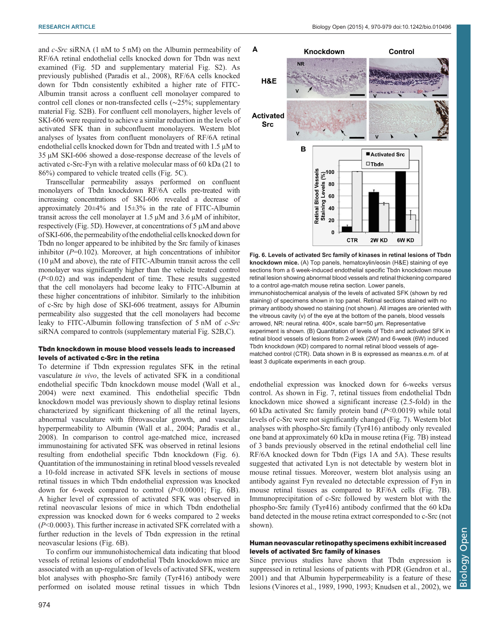and c-Src siRNA (1 nM to 5 nM) on the Albumin permeability of RF/6A retinal endothelial cells knocked down for Tbdn was next examined [\(Fig. 5D](#page-3-0) and [supplementary material Fig. S2](http://bio.biologists.org/lookup/suppl/doi:10.1242/bio.010496/-/DC1)). As previously published [\(Paradis et al., 2008](#page-9-0)), RF/6A cells knocked down for Tbdn consistently exhibited a higher rate of FITC-Albumin transit across a confluent cell monolayer compared to control cell clones or non-transfected cells (∼25%; [supplementary](http://bio.biologists.org/lookup/suppl/doi:10.1242/bio.010496/-/DC1) [material Fig. S2B\)](http://bio.biologists.org/lookup/suppl/doi:10.1242/bio.010496/-/DC1). For confluent cell monolayers, higher levels of SKI-606 were required to achieve a similar reduction in the levels of activated SFK than in subconfluent monolayers. Western blot analyses of lysates from confluent monolayers of RF/6A retinal endothelial cells knocked down for Tbdn and treated with 1.5  $\mu$ M to 35 µM SKI-606 showed a dose-response decrease of the levels of activated c-Src-Fyn with a relative molecular mass of 60 kDa (21 to 86%) compared to vehicle treated cells ([Fig. 5](#page-3-0)C).

Transcellular permeability assays performed on confluent monolayers of Tbdn knockdown RF/6A cells pre-treated with increasing concentrations of SKI-606 revealed a decrease of approximately  $20\pm4\%$  and  $15\pm3\%$  in the rate of FITC-Albumin transit across the cell monolayer at  $1.5 \mu M$  and  $3.6 \mu M$  of inhibitor, respectively ([Fig. 5D](#page-3-0)). However, at concentrations of 5 µM and above of SKI-606,the permeability ofthe endothelial cells knocked down for Tbdn no longer appeared to be inhibited by the Src family of kinases inhibitor  $(P=0.102)$ . Moreover, at high concentrations of inhibitor  $(10 \mu M)$  and above), the rate of FITC-Albumin transit across the cell monolayer was significantly higher than the vehicle treated control  $(P<0.02)$  and was independent of time. These results suggested that the cell monolayers had become leaky to FITC-Albumin at these higher concentrations of inhibitor. Similarly to the inhibition of c-Src by high dose of SKI-606 treatment, assays for Albumin permeability also suggested that the cell monolayers had become leaky to FITC-Albumin following transfection of 5 nM of c-Src siRNA compared to controls ([supplementary material Fig. S2B,C\)](http://bio.biologists.org/lookup/suppl/doi:10.1242/bio.010496/-/DC1).

## Tbdn knockdown in mouse blood vessels leads to increased levels of activated c-Src in the retina

To determine if Tbdn expression regulates SFK in the retinal vasculature in vivo, the levels of activated SFK in a conditional endothelial specific Tbdn knockdown mouse model ([Wall et al.,](#page-9-0) [2004](#page-9-0)) were next examined. This endothelial specific Tbdn knockdown model was previously shown to display retinal lesions characterized by significant thickening of all the retinal layers, abnormal vasculature with fibrovascular growth, and vascular hyperpermeability to Albumin ([Wall et al., 2004; Paradis et al.,](#page-9-0) [2008](#page-9-0)). In comparison to control age-matched mice, increased immunostaining for activated SFK was observed in retinal lesions resulting from endothelial specific Tbdn knockdown (Fig. 6). Quantitation of the immunostaining in retinal blood vessels revealed a 10-fold increase in activated SFK levels in sections of mouse retinal tissues in which Tbdn endothelial expression was knocked down for 6-week compared to control  $(P<0.00001$ ; Fig. 6B). A higher level of expression of activated SFK was observed in retinal neovascular lesions of mice in which Tbdn endothelial expression was knocked down for 6 weeks compared to 2 weeks (P<0.0003). This further increase in activated SFK correlated with a further reduction in the levels of Tbdn expression in the retinal neovascular lesions (Fig. 6B).

To confirm our immunohistochemical data indicating that blood vessels of retinal lesions of endothelial Tbdn knockdown mice are associated with an up-regulation of levels of activated SFK, western blot analyses with phospho-Src family (Tyr416) antibody were performed on isolated mouse retinal tissues in which Tbdn





endothelial expression was knocked down for 6-weeks versus control. As shown in [Fig. 7,](#page-5-0) retinal tissues from endothelial Tbdn knockdown mice showed a significant increase (2.5-fold) in the 60 kDa activated Src family protein band  $(P<0.0019)$  while total levels of c-Src were not significantly changed [\(Fig. 7\)](#page-5-0). Western blot analyses with phospho-Src family (Tyr416) antibody only revealed one band at approximately 60 kDa in mouse retina [\(Fig. 7](#page-5-0)B) instead of 3 bands previously observed in the retinal endothelial cell line RF/6A knocked down for Tbdn ([Figs 1](#page-1-0)A and [5](#page-3-0)A). These results suggested that activated Lyn is not detectable by western blot in mouse retinal tissues. Moreover, western blot analysis using an antibody against Fyn revealed no detectable expression of Fyn in mouse retinal tissues as compared to RF/6A cells [\(Fig. 7](#page-5-0)B). Immunoprecipitation of c-Src followed by western blot with the phospho-Src family (Tyr416) antibody confirmed that the 60 kDa band detected in the mouse retina extract corresponded to c-Src (not shown).

## Human neovascular retinopathy specimens exhibit increased levels of activated Src family of kinases

Since previous studies have shown that Tbdn expression is suppressed in retinal lesions of patients with PDR [\(Gendron et al.,](#page-9-0) [2001\)](#page-9-0) and that Albumin hyperpermeability is a feature of these lesions [\(Vinores et al., 1989, 1990](#page-9-0), [1993; Knudsen et al., 2002\)](#page-9-0), we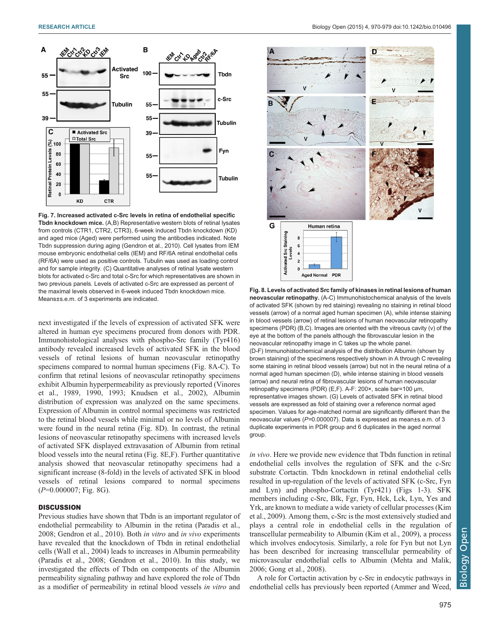<span id="page-5-0"></span>

Fig. 7. Increased activated c-Src levels in retina of endothelial specific Tbdn knockdown mice. (A,B) Representative western blots of retinal lysates from controls (CTR1, CTR2, CTR3), 6-week induced Tbdn knockdown (KD) and aged mice (Aged) were performed using the antibodies indicated. Note Tbdn suppression during aging ([Gendron et al., 2010](#page-9-0)). Cell lysates from IEM mouse embryonic endothelial cells (IEM) and RF/6A retinal endothelial cells (RF/6A) were used as positive controls. Tubulin was used as loading control and for sample integrity. (C) Quantitative analyses of retinal lysate western blots for activated c-Src and total c-Src for which representatives are shown in two previous panels. Levels of activated c-Src are expressed as percent of the maximal levels observed in 6-week induced Tbdn knockdown mice. Means±s.e.m. of 3 experiments are indicated.

next investigated if the levels of expression of activated SFK were altered in human eye specimens procured from donors with PDR. Immunohistological analyses with phospho-Src family (Tyr416) antibody revealed increased levels of activated SFK in the blood vessels of retinal lesions of human neovascular retinopathy specimens compared to normal human specimens (Fig. 8A-C). To confirm that retinal lesions of neovascular retinopathy specimens exhibit Albumin hyperpermeability as previously reported [\(Vinores](#page-9-0) [et al., 1989](#page-9-0), [1990](#page-9-0), [1993](#page-9-0); [Knudsen et al., 2002](#page-9-0)), Albumin distribution of expression was analyzed on the same specimens. Expression of Albumin in control normal specimens was restricted to the retinal blood vessels while minimal or no levels of Albumin were found in the neural retina (Fig. 8D). In contrast, the retinal lesions of neovascular retinopathy specimens with increased levels of activated SFK displayed extravasation of Albumin from retinal blood vessels into the neural retina (Fig. 8E,F). Further quantitative analysis showed that neovascular retinopathy specimens had a significant increase (8-fold) in the levels of activated SFK in blood vessels of retinal lesions compared to normal specimens  $(P=0.000007;$  Fig. 8G).

## **DISCUSSION**

Previous studies have shown that Tbdn is an important regulator of endothelial permeability to Albumin in the retina [\(Paradis et al.,](#page-9-0) [2008](#page-9-0); [Gendron et al., 2010](#page-9-0)). Both in vitro and in vivo experiments have revealed that the knockdown of Tbdn in retinal endothelial cells ([Wall et al., 2004](#page-9-0)) leads to increases in Albumin permeability [\(Paradis et al., 2008; Gendron et al., 2010](#page-9-0)). In this study, we investigated the effects of Tbdn on components of the Albumin permeability signaling pathway and have explored the role of Tbdn as a modifier of permeability in retinal blood vessels in vitro and



Fig. 8. Levels of activated Src family of kinases in retinal lesions of human neovascular retinopathy. (A-C) Immunohistochemical analysis of the levels of activated SFK (shown by red staining) revealing no staining in retinal blood vessels (arrow) of a normal aged human specimen (A), while intense staining in blood vessels (arrow) of retinal lesions of human neovascular retinopathy specimens (PDR) (B,C). Images are oriented with the vitreous cavity (v) of the eye at the bottom of the panels although the fibrovascular lesion in the neovascular retinopathy image in C takes up the whole panel. (D-F) Immunohistochemical analysis of the distribution Albumin (shown by brown staining) of the specimens respectively shown in A through C revealing some staining in retinal blood vessels (arrow) but not in the neural retina of a normal aged human specimen (D), while intense staining in blood vessels (arrow) and neural retina of fibrovascular lesions of human neovascular retinopathy specimens (PDR) (E,F). A-F: 200×, scale bar=100 µm, representative images shown. (G) Levels of activated SFK in retinal blood vessels are expressed as fold of staining over a reference normal aged specimen. Values for age-matched normal are significantly different than the neovascular values (P=0.000007). Data is expressed as mean±s.e.m. of 3 duplicate experiments in PDR group and 6 duplicates in the aged normal group.

in vivo. Here we provide new evidence that Tbdn function in retinal endothelial cells involves the regulation of SFK and the c-Src substrate Cortactin. Tbdn knockdown in retinal endothelial cells resulted in up-regulation of the levels of activated SFK (c-Src, Fyn and Lyn) and phospho-Cortactin (Tyr421) ([Figs 1-](#page-1-0)[3](#page-2-0)). SFK members including c-Src, Blk, Fgr, Fyn, Hck, Lck, Lyn, Yes and Yrk, are known to mediate a wide variety of cellular processes [\(Kim](#page-9-0) [et al., 2009](#page-9-0)). Among them, c-Src is the most extensively studied and plays a central role in endothelial cells in the regulation of transcellular permeability to Albumin ([Kim et al., 2009](#page-9-0)), a process which involves endocytosis. Similarly, a role for Fyn but not Lyn has been described for increasing transcellular permeability of microvascular endothelial cells to Albumin ([Mehta and Malik,](#page-9-0) [2006; Gong et al., 2008\)](#page-9-0).

A role for Cortactin activation by c-Src in endocytic pathways in endothelial cells has previously been reported [\(Ammer and Weed,](#page-8-0)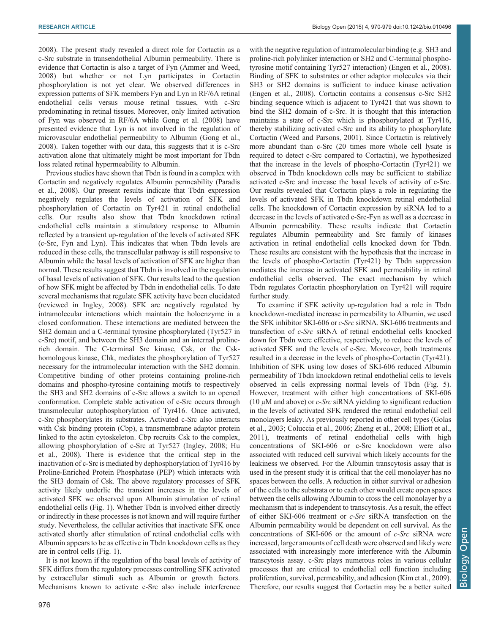[2008](#page-8-0)). The present study revealed a direct role for Cortactin as a c-Src substrate in transendothelial Albumin permeability. There is evidence that Cortactin is also a target of Fyn [\(Ammer and Weed,](#page-8-0) [2008](#page-8-0)) but whether or not Lyn participates in Cortactin phosphorylation is not yet clear. We observed differences in expression patterns of SFK members Fyn and Lyn in RF/6A retinal endothelial cells versus mouse retinal tissues, with c-Src predominating in retinal tissues. Moreover, only limited activation of Fyn was observed in RF/6A while [Gong et al. \(2008\)](#page-9-0) have presented evidence that Lyn is not involved in the regulation of microvascular endothelial permeability to Albumin [\(Gong et al.,](#page-9-0) [2008](#page-9-0)). Taken together with our data, this suggests that it is c-Src activation alone that ultimately might be most important for Tbdn loss related retinal hypermeability to Albumin.

Previous studies have shown that Tbdn is found in a complex with Cortactin and negatively regulates Albumin permeability ([Paradis](#page-9-0) [et al., 2008](#page-9-0)). Our present results indicate that Tbdn expression negatively regulates the levels of activation of SFK and phosphorylation of Cortactin on Tyr421 in retinal endothelial cells. Our results also show that Tbdn knockdown retinal endothelial cells maintain a stimulatory response to Albumin reflected by a transient up-regulation of the levels of activated SFK (c-Src, Fyn and Lyn). This indicates that when Tbdn levels are reduced in these cells, the transcellular pathway is still responsive to Albumin while the basal levels of activation of SFK are higher than normal. These results suggest that Tbdn is involved in the regulation of basal levels of activation of SFK. Our results lead to the question of how SFK might be affected by Tbdn in endothelial cells. To date several mechanisms that regulate SFK activity have been elucidated (reviewed in [Ingley, 2008\)](#page-9-0). SFK are negatively regulated by intramolecular interactions which maintain the holoenzyme in a closed conformation. These interactions are mediated between the SH2 domain and a C-terminal tyrosine phosphorylated (Tyr527 in c-Src) motif, and between the SH3 domain and an internal prolinerich domain. The C-terminal Src kinase, Csk, or the Cskhomologous kinase, Chk, mediates the phosphorylation of Tyr527 necessary for the intramolecular interaction with the SH2 domain. Competitive binding of other proteins containing proline-rich domains and phospho-tyrosine containing motifs to respectively the SH3 and SH2 domains of c-Src allows a switch to an opened conformation. Complete stable activation of c-Src occurs through transmolecular autophosphorylation of Tyr416. Once activated, c-Src phosphorylates its substrates. Activated c-Src also interacts with Csk binding protein (Cbp), a transmembrane adaptor protein linked to the actin cytoskeleton. Cbp recruits Csk to the complex, allowing phosphorylation of c-Src at Tyr527 [\(Ingley, 2008; Hu](#page-9-0) [et al., 2008\)](#page-9-0). There is evidence that the critical step in the inactivation of c-Src is mediated by dephosphorylation of Tyr416 by Proline-Enriched Protein Phosphatase (PEP) which interacts with the SH3 domain of Csk. The above regulatory processes of SFK activity likely underlie the transient increases in the levels of activated SFK we observed upon Albumin stimulation of retinal endothelial cells [\(Fig. 1\)](#page-1-0). Whether Tbdn is involved either directly or indirectly in these processes is not known and will require further study. Nevertheless, the cellular activities that inactivate SFK once activated shortly after stimulation of retinal endothelial cells with Albumin appears to be as effective in Tbdn knockdown cells as they are in control cells ([Fig. 1](#page-1-0)).

It is not known if the regulation of the basal levels of activity of SFK differs from the regulatory processes controlling SFK activated by extracellular stimuli such as Albumin or growth factors. Mechanisms known to activate c-Src also include interference

with the negative regulation of intramolecular binding (e.g. SH3 and proline-rich polylinker interaction or SH2 and C-terminal phosphotyrosine motif containing Tyr527 interaction) [\(Engen et al., 2008\)](#page-9-0). Binding of SFK to substrates or other adaptor molecules via their SH3 or SH2 domains is sufficient to induce kinase activation [\(Engen et al., 2008\)](#page-9-0). Cortactin contains a consensus c-Src SH2 binding sequence which is adjacent to Tyr421 that was shown to bind the SH2 domain of c-Src. It is thought that this interaction maintains a state of c-Src which is phosphorylated at Tyr416, thereby stabilizing activated c-Src and its ability to phosphorylate Cortactin ([Weed and Parsons, 2001\)](#page-9-0). Since Cortactin is relatively more abundant than c-Src (20 times more whole cell lysate is required to detect c-Src compared to Cortactin), we hypothesized that the increase in the levels of phospho-Cortactin (Tyr421) we observed in Tbdn knockdown cells may be sufficient to stabilize activated c-Src and increase the basal levels of activity of c-Src. Our results revealed that Cortactin plays a role in regulating the levels of activated SFK in Tbdn knockdown retinal endothelial cells. The knockdown of Cortactin expression by siRNA led to a decrease in the levels of activated c-Src-Fyn as well as a decrease in Albumin permeability. These results indicate that Cortactin regulates Albumin permeability and Src family of kinases activation in retinal endothelial cells knocked down for Tbdn. These results are consistent with the hypothesis that the increase in the levels of phospho-Cortactin (Tyr421) by Tbdn suppression mediates the increase in activated SFK and permeability in retinal endothelial cells observed. The exact mechanism by which Tbdn regulates Cortactin phosphorylation on Tyr421 will require further study.

To examine if SFK activity up-regulation had a role in Tbdn knockdown-mediated increase in permeability to Albumin, we used the SFK inhibitor SKI-606 or c-Src siRNA. SKI-606 treatments and transfection of c-Src siRNA of retinal endothelial cells knocked down for Tbdn were effective, respectively, to reduce the levels of activated SFK and the levels of c-Src. Moreover, both treatments resulted in a decrease in the levels of phospho-Cortactin (Tyr421). Inhibition of SFK using low doses of SKI-606 reduced Albumin permeability of Tbdn knockdown retinal endothelial cells to levels observed in cells expressing normal levels of Tbdn [\(Fig. 5\)](#page-3-0). However, treatment with either high concentrations of SKI-606 (10  $\mu$ M and above) or *c*-*Src* siRNA yielding to significant reduction in the levels of activated SFK rendered the retinal endothelial cell monolayers leaky. As previously reported in other cell types ([Golas](#page-9-0) [et al., 2003](#page-9-0); [Coluccia et al., 2006;](#page-8-0) [Zheng et al., 2008](#page-9-0); [Elliott et al.,](#page-9-0) [2011\)](#page-9-0), treatments of retinal endothelial cells with high concentrations of SKI-606 or c-Src knockdown were also associated with reduced cell survival which likely accounts for the leakiness we observed. For the Albumin transcytosis assay that is used in the present study it is critical that the cell monolayer has no spaces between the cells. A reduction in either survival or adhesion of the cells to the substrata or to each other would create open spaces between the cells allowing Albumin to cross the cell monolayer by a mechanism that is independent to transcytosis. As a result, the effect of either SKI-606 treatment or c-Src siRNA transfection on the Albumin permeability would be dependent on cell survival. As the concentrations of SKI-606 or the amount of  $c$ -Src siRNA were increased, larger amounts of cell death were observed and likely were associated with increasingly more interference with the Albumin transcytosis assay. c-Src plays numerous roles in various cellular processes that are critical to endothelial cell function including proliferation, survival, permeability, and adhesion ([Kim et al., 2009\)](#page-9-0). Therefore, our results suggest that Cortactin may be a better suited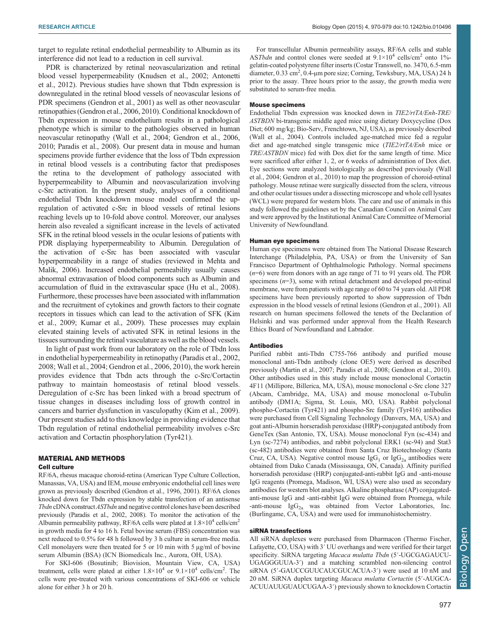target to regulate retinal endothelial permeability to Albumin as its interference did not lead to a reduction in cell survival.

PDR is characterized by retinal neovascularization and retinal blood vessel hyperpermeability [\(Knudsen et al., 2002](#page-9-0); [Antonetti](#page-8-0) [et al., 2012](#page-8-0)). Previous studies have shown that Tbdn expression is downregulated in the retinal blood vessels of neovascular lesions of PDR specimens [\(Gendron et al., 2001\)](#page-9-0) as well as other neovascular retinopathies ([Gendron et al., 2006, 2010\)](#page-9-0). Conditional knockdown of Tbdn expression in mouse endothelium results in a pathological phenotype which is similar to the pathologies observed in human neovascular retinopathy [\(Wall et al., 2004](#page-9-0); [Gendron et al., 2006,](#page-9-0) [2010; Paradis et al., 2008](#page-9-0)). Our present data in mouse and human specimens provide further evidence that the loss of Tbdn expression in retinal blood vessels is a contributing factor that predisposes the retina to the development of pathology associated with hyperpermeability to Albumin and neovascularization involving c-Src activation. In the present study, analyses of a conditional endothelial Tbdn knockdown mouse model confirmed the upregulation of activated c-Src in blood vessels of retinal lesions reaching levels up to 10-fold above control. Moreover, our analyses herein also revealed a significant increase in the levels of activated SFK in the retinal blood vessels in the ocular lesions of patients with PDR displaying hyperpermeability to Albumin. Deregulation of the activation of c-Src has been associated with vascular hyperpermeability in a range of studies (reviewed in [Mehta and](#page-9-0) [Malik, 2006](#page-9-0)). Increased endothelial permeability usually causes abnormal extravasation of blood components such as Albumin and accumulation of fluid in the extravascular space [\(Hu et al., 2008\)](#page-9-0). Furthermore, these processes have been associated with inflammation and the recruitment of cytokines and growth factors to their cognate receptors in tissues which can lead to the activation of SFK [\(Kim](#page-9-0) [et al., 2009; Kumar et al., 2009\)](#page-9-0). These processes may explain elevated staining levels of activated SFK in retinal lesions in the tissues surrounding the retinal vasculature as well asthe blood vessels.

In light of past work from our laboratory on the role of Tbdn loss in endothelial hyperpermeability in retinopathy ([Paradis et al., 2002,](#page-9-0) [2008](#page-9-0); [Wall et al., 2004; Gendron et al., 2006, 2010](#page-9-0)), the work herein provides evidence that Tbdn acts through the c-Src/Cortactin pathway to maintain homeostasis of retinal blood vessels. Deregulation of c-Src has been linked with a broad spectrum of tissue changes in diseases including loss of growth control in cancers and barrier dysfunction in vasculopathy [\(Kim et al., 2009\)](#page-9-0). Our present studies add to this knowledge in providing evidence that Tbdn regulation of retinal endothelial permeability involves c-Src activation and Cortactin phosphorylation (Tyr421).

#### MATERIAL AND METHODS Cell culture

RF/6A, rhesus macaque choroid-retina (American Type Culture Collection, Manassas, VA, USA) and IEM, mouse embryonic endothelial cell lines were grown as previously described [\(Gendron et al., 1996, 2001](#page-9-0)). RF/6A clones knocked down for Tbdn expression by stable transfection of an antisense Tbdn cDNA construct ASTbdn and negative control clones have been described previously ([Paradis et al., 2002](#page-9-0), [2008\)](#page-9-0). To monitor the activation of the Albumin permeability pathway, RF/6A cells were plated at  $1.8 \times 10^4$  cells/cm<sup>2</sup> in growth media for 4 to 16 h. Fetal bovine serum (FBS) concentration was next reduced to 0.5% for 48 h followed by 3 h culture in serum-free media. Cell monolayers were then treated for 5 or 10 min with  $5 \mu g/ml$  of bovine serum Albumin (BSA) (ICN Biomedicals Inc., Aurora, OH, USA).

For SKI-606 (Bosutinib; Biovision, Mountain View, CA, USA) treatment, cells were plated at either  $1.8 \times 10^4$  or  $9.1 \times 10^4$  cells/cm<sup>2</sup>. The cells were pre-treated with various concentrations of SKI-606 or vehicle alone for either 3 h or 20 h.

For transcellular Albumin permeability assays, RF/6A cells and stable ASTbdn and control clones were seeded at  $9.1 \times 10^4$  cells/cm<sup>2</sup> onto 1%gelatin-coated polystyrene filter inserts (Costar Transwell, no. 3470, 6.5-mm diameter, 0.33 cm<sup>2</sup>, 0.4-µm pore size; Corning, Tewksbury, MA, USA) 24 h prior to the assay. Three hours prior to the assay, the growth media were substituted to serum-free media.

#### Mouse specimens

Endothelial Tbdn expression was knocked down in TIE2/rtTA/Enh-TRE/ ASTBDN bi-transgenic middle aged mice using dietary Doxycycline (Dox Diet; 600 mg/kg; Bio-Serv, Frenchtown, NJ, USA), as previously described ([Wall et al., 2004](#page-9-0)). Controls included age-matched mice fed a regular diet and age-matched single transgenic mice (TIE2/rtTA/Enh mice or TRE/ASTBDN mice) fed with Dox diet for the same length of time. Mice were sacrificed after either 1, 2, or 6 weeks of administration of Dox diet. Eye sections were analyzed histologically as described previously [\(Wall](#page-9-0) [et al., 2004](#page-9-0); [Gendron et al., 2010](#page-9-0)) to map the progression of choroid-retinal pathology. Mouse retinae were surgically dissected from the sclera, vitreous and other ocular tissues under a dissecting microscope and whole cell lysates (WCL) were prepared for western blots. The care and use of animals in this study followed the guidelines set by the Canadian Council on Animal Care and were approved by the Institutional Animal Care Committee of Memorial University of Newfoundland.

#### Human eye specimens

Human eye specimens were obtained from The National Disease Research Interchange (Philadelphia, PA, USA) or from the University of San Francisco Department of Ophthalmologic Pathology. Normal specimens (n=6) were from donors with an age range of 71 to 91 years old. The PDR specimens  $(n=3)$ , some with retinal detachment and developed pre-retinal membrane, were from patients with age range of 60 to 74 years old. All PDR specimens have been previously reported to show suppression of Tbdn expression in the blood vessels of retinal lesions ([Gendron et al., 2001](#page-9-0)). All research on human specimens followed the tenets of the Declaration of Helsinki and was performed under approval from the Health Research Ethics Board of Newfoundland and Labrador.

#### Antibodies

Purified rabbit anti-Tbdn C755-766 antibody and purified mouse monoclonal anti-Tbdn antibody (clone OE5) were derived as described previously [\(Martin et al., 2007; Paradis et al., 2008; Gendron et al., 2010](#page-9-0)). Other antibodies used in this study include mouse monoclonal Cortactin 4F11 (Millipore, Billerica, MA, USA), mouse monoclonal c-Src clone 327 (Abcam, Cambridge, MA, USA) and mouse monoclonal α-Tubulin antibody (DM1A; Sigma, St. Louis, MO, USA). Rabbit polyclonal phospho-Cortactin (Tyr421) and phospho-Src family (Tyr416) antibodies were purchased from Cell Signaling Technology (Danvers, MA, USA) and goat anti-Albumin horseradish peroxidase (HRP)-conjugated antibody from GeneTex (San Antonio, TX, USA). Mouse monoclonal Fyn (sc-434) and Lyn (sc-7274) antibodies, and rabbit polyclonal ERK1 (sc-94) and Stat3 (sc-482) antibodies were obtained from Santa Cruz Biotechnology (Santa Cruz, CA, USA). Negative control mouse  $\text{IgG}_1$  or  $\text{IgG}_{2a}$  antibodies were obtained from Dako Canada (Mississauga, ON, Canada). Affinity purified horseradish peroxidase (HRP) conjugated-anti-rabbit IgG and -anti-mouse IgG reagents (Promega, Madison, WI, USA) were also used as secondary antibodies for western blot analyses. Alkaline phosphatase (AP) conjugatedanti-mouse IgG and -anti-rabbit IgG were obtained from Promega, while -anti-mouse  $IgG_{2a}$  was obtained from Vector Laboratories, Inc. (Burlingame, CA, USA) and were used for immunohistochemistry.

## siRNA transfections

All siRNA duplexes were purchased from Dharmacon (Thermo Fischer, Lafayette, CO, USA) with 3′ UU overhangs and were verified for their target specificity. SiRNA targeting Macaca mulatta Tbdn (5'-UGCGAGAUCU-UGAGGGUUA-3′) and a matching scrambled non-silencing control siRNA (5′-GAUCCGUUCAUCGUCACUA-3′) were used at 10 nM and 20 nM. SiRNA duplex targeting Macaca mulatta Cortactin (5′-AUGCA-ACUUAUUGUAUCUGAA-3′) previously shown to knockdown Cortactin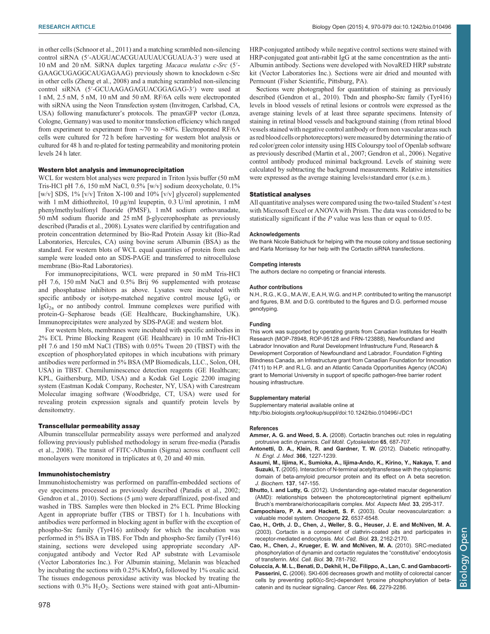<span id="page-8-0"></span>in other cells ([Schnoor et al., 2011](#page-9-0)) and a matching scrambled non-silencing control siRNA (5′-AUGUACACGUAUUAUCGUAUA-3′) were used at 10 nM and 20 nM. SiRNA duplex targeting Macaca mulatta c-Src (5′- GAAGCUGAGGCAUGAGAAG) previously shown to knockdown c-Src in other cells ([Zheng et al., 2008](#page-9-0)) and a matching scrambled non-silencing control siRNA (5′-GCUAAGAGAGUACGGAGAG-3′) were used at 1 nM, 2.5 nM, 5 nM, 10 nM and 50 nM. RF/6A cells were electroporated with siRNA using the Neon Transfection system (Invitrogen, Carlsbad, CA, USA) following manufacturer's protocols. The pmaxGFP vector (Lonza, Cologne, Germany) was used to monitor transfection efficiency which ranged from experiment to experiment from ∼70 to ∼80%. Electroporated RF/6A cells were cultured for 72 h before harvesting for western blot analysis or cultured for 48 h and re-plated for testing permeability and monitoring protein levels 24 h later.

#### Western blot analysis and immunoprecipitation

WCL for western blot analyses were prepared in Triton lysis buffer (50 mM Tris-HCl pH 7.6, 150 mM NaCl, 0.5% [w/v] sodium deoxycholate, 0.1% [w/v] SDS, 1% [v/v] Triton X-100 and 10% [v/v] glycerol) supplemented with 1 mM dithiothreitol, 10 µg/ml leupeptin, 0.3 U/ml aprotinin, 1 mM phenylmethylsulfonyl fluoride (PMSF), 1 mM sodium orthovanadate, 50 mM sodium fluoride and 25 mM β-glycerophosphate as previously described ([Paradis et al., 2008\)](#page-9-0). Lysates were clarified by centrifugation and protein concentration determined by Bio-Rad Protein Assay kit (Bio-Rad Laboratories, Hercules, CA) using bovine serum Albumin (BSA) as the standard. For western blots of WCL equal quantities of protein from each sample were loaded onto an SDS-PAGE and transferred to nitrocellulose membrane (Bio-Rad Laboratories).

For immunoprecipitations, WCL were prepared in 50 mM Tris-HCl pH 7.6, 150 mM NaCl and 0.5% Brij 96 supplemented with protease and phosphatase inhibitors as above. Lysates were incubated with specific antibody or isotype-matched negative control mouse  $\text{IgG}_1$  or  $\lg G_{2a}$  or no antibody control. Immune complexes were purified with protein-G–Sepharose beads (GE Healthcare, Buckinghamshire, UK). Immunoprecipitates were analyzed by SDS-PAGE and western blot.

For western blots, membranes were incubated with specific antibodies in 2% ECL Prime Blocking Reagent (GE Healthcare) in 10 mM Tris-HCl pH 7.6 and 150 mM NaCl (TBS) with 0.05% Tween 20 (TBST) with the exception of phosphorylated epitopes in which incubations with primary antibodies were performed in 5% BSA (MP Biomedicals, LLC., Solon, OH, USA) in TBST. Chemiluminescence detection reagents (GE Healthcare; KPL, Gaithersburg, MD, USA) and a Kodak Gel Logic 2200 imaging system (Eastman Kodak Company, Rochester, NY, USA) with Carestream Molecular imaging software (Woodbridge, CT, USA) were used for revealing protein expression signals and quantify protein levels by densitometry.

#### Transcellular permeability assay

Albumin transcellular permeability assays were performed and analyzed following previously published methodology in serum free-media ([Paradis](#page-9-0) [et al., 2008](#page-9-0)). The transit of FITC-Albumin (Sigma) across confluent cell monolayers were monitored in triplicates at 0, 20 and 40 min.

#### Immunohistochemistry

Immunohistochemistry was performed on paraffin-embedded sections of eye specimens processed as previously described [\(Paradis et al., 2002;](#page-9-0) [Gendron et al., 2010\)](#page-9-0). Sections (5  $\mu$ m) were deparaffinized, post-fixed and washed in TBS. Samples were then blocked in 2% ECL Prime Blocking Agent in appropriate buffer (TBS or TBST) for 1 h. Incubations with antibodies were performed in blocking agent in buffer with the exception of phospho-Src family (Tyr416) antibody for which the incubation was performed in 5% BSA in TBS. For Tbdn and phospho-Src family (Tyr416) staining, sections were developed using appropriate secondary APconjugated antibody and Vector Red AP substrate with Levamisole (Vector Laboratories Inc.). For Albumin staining, Melanin was bleached by incubating the sections with  $0.25\%$  KMnO<sub>4</sub> followed by 1% oxalic acid. The tissues endogenous peroxidase activity was blocked by treating the sections with  $0.3\%$  H<sub>2</sub>O<sub>2</sub>. Sections were stained with goat anti-AlbuminHRP-conjugated antibody while negative control sections were stained with HRP-conjugated goat anti-rabbit IgG at the same concentration as the anti-Albumin antibody. Sections were developed with NovaRED HRP substrate kit (Vector Laboratories Inc.). Sections were air dried and mounted with Permount (Fisher Scientific, Pittsburg, PA).

Sections were photographed for quantitation of staining as previously described ([Gendron et al., 2010\)](#page-9-0). Tbdn and phospho-Src family (Tyr416) levels in blood vessels of retinal lesions or controls were expressed as the average staining levels of at least three separate specimens. Intensity of staining in retinal blood vessels and background staining (from retinal blood vessels stained with negative control antibody or from non vascular areas such as red blood cells or photoreceptors) were measured by determining the ratio of red color/green color intensity using HIS Colourspy tool of Openlab software as previously described [\(Martin et al., 2007](#page-9-0); [Gendron et al., 2006\)](#page-9-0). Negative control antibody produced minimal background. Levels of staining were calculated by subtracting the background measurements. Relative intensities were expressed as the average staining levels±standard error (s.e.m.).

#### Statistical analyses

All quantitative analyses were compared using the two-tailed Student's t-test with Microsoft Excel or ANOVA with Prism. The data was considered to be statistically significant if the P value was less than or equal to 0.05.

#### Acknowledgements

We thank Nicole Babichuck for helping with the mouse colony and tissue sectioning and Karla Morrissey for her help with the Cortactin siRNA transfections.

#### Competing interests

The authors declare no competing or financial interests.

#### Author contributions

N.H., R.G., K.G., M.A.W., E.A.H, W.G. and H.P. contributed to writing the manuscript and figures, B.M. and D.G. contributed to the figures and D.G. performed mouse genotyping.

#### Funding

This work was supported by operating grants from Canadian Institutes for Health Research (MOP-78948, ROP-95128 and FRN-123888), Newfoundland and Labrador Innovation and Rural Development Infrastructure Fund, Research & Development Corporation of Newfoundland and Labrador, Foundation Fighting Blindness Canada, an Infrastructure grant from Canadian Foundation for Innovation (7411) to H.P. and R.L.G. and an Atlantic Canada Opportunities Agency (ACOA) grant to Memorial University in support of specific pathogen-free barrier rodent housing infrastructure.

#### Supplementary material

Supplementary material available online at <http://bio.biologists.org/lookup/suppl/doi:10.1242/bio.010496/-/DC1>

#### References

- Ammer, A. G. and Weed, S. A. [\(2008\). Cortactin branches out: roles in regulating](http://dx.doi.org/10.1002/cm.20296) [protrusive actin dynamics.](http://dx.doi.org/10.1002/cm.20296) Cell Motil. Cytoskeleton 65, 687-707.
- [Antonetti, D. A., Klein, R. and Gardner, T. W.](http://dx.doi.org/10.1056/NEJMra1005073) (2012). Diabetic retinopathy. [N. Engl. J. Med.](http://dx.doi.org/10.1056/NEJMra1005073) 366, 1227-1239.
- [Asaumi, M., Iijima, K., Sumioka, A., Iijima-Ando, K., Kirino, Y., Nakaya, T. and](http://dx.doi.org/10.1093/jb/mvi014) Suzuki, T. [\(2005\). Interaction of N-terminal acetyltransferase with the cytoplasmic](http://dx.doi.org/10.1093/jb/mvi014) [domain of beta-amyloid precursor protein and its effect on A beta secretion.](http://dx.doi.org/10.1093/jb/mvi014) [J. Biochem.](http://dx.doi.org/10.1093/jb/mvi014) 137, 147-155.
- Bhutto, I. and Lutty, G. [\(2012\). Understanding age-related macular degeneration](http://dx.doi.org/10.1016/j.mam.2012.04.005) [\(AMD\): relationships between the photoreceptor/retinal pigment epithelium/](http://dx.doi.org/10.1016/j.mam.2012.04.005) Bruch'[s membrane/choriocapillaris complex.](http://dx.doi.org/10.1016/j.mam.2012.04.005) Mol. Aspects Med. 33, 295-317.
- [Campochiaro, P. A. and Hackett, S. F.](http://dx.doi.org/10.1038/sj.onc.1206773) (2003). Ocular neovascularization: a [valuable model system.](http://dx.doi.org/10.1038/sj.onc.1206773) Oncogene 22, 6537-6548.
- [Cao, H., Orth, J. D., Chen, J., Weller, S. G., Heuser, J. E. and McNiven, M. A.](http://dx.doi.org/10.1128/MCB.23.6.2162-2170.2003) [\(2003\). Cortactin is a component of clathrin-coated pits and participates in](http://dx.doi.org/10.1128/MCB.23.6.2162-2170.2003) [receptor-mediated endocytosis.](http://dx.doi.org/10.1128/MCB.23.6.2162-2170.2003) Mol. Cell. Biol. 23, 2162-2170.
- [Cao, H., Chen, J., Krueger, E. W. and McNiven, M. A.](http://dx.doi.org/10.1128/MCB.00330-09) (2010). SRC-mediated [phosphorylation of dynamin and cortactin regulates the](http://dx.doi.org/10.1128/MCB.00330-09) "constitutive" endocytosis of transferrin. [Mol. Cell. Biol.](http://dx.doi.org/10.1128/MCB.00330-09) 30, 781-792.
- [Coluccia, A. M. L., Benati, D., Dekhil, H., De Filippo, A., Lan, C. and Gambacorti-](http://dx.doi.org/10.1158/0008-5472.CAN-05-2057)Passerini, C. [\(2006\). SKI-606 decreases growth and motility of colorectal cancer](http://dx.doi.org/10.1158/0008-5472.CAN-05-2057) [cells by preventing pp60\(c-Src\)-dependent tyrosine phosphorylation of beta](http://dx.doi.org/10.1158/0008-5472.CAN-05-2057)[catenin and its nuclear signaling.](http://dx.doi.org/10.1158/0008-5472.CAN-05-2057) Cancer Res. 66, 2279-2286.